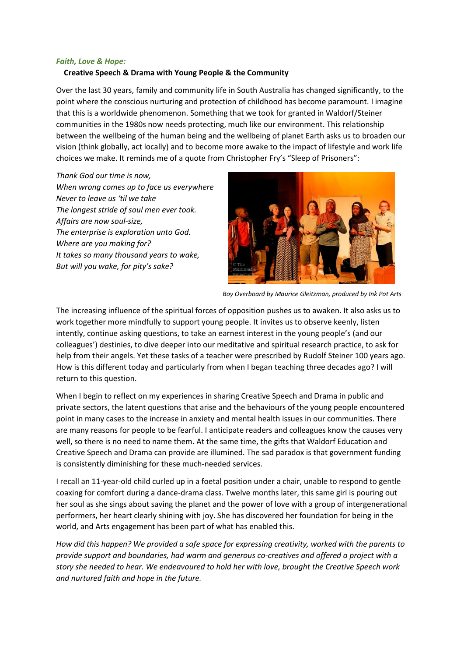## *Faith, Love & Hope:*

## **Creative Speech & Drama with Young People & the Community**

Over the last 30 years, family and community life in South Australia has changed significantly, to the point where the conscious nurturing and protection of childhood has become paramount. I imagine that this is a worldwide phenomenon. Something that we took for granted in Waldorf/Steiner communities in the 1980s now needs protecting, much like our environment. This relationship between the wellbeing of the human being and the wellbeing of planet Earth asks us to broaden our vision (think globally, act locally) and to become more awake to the impact of lifestyle and work life choices we make. It reminds me of a quote from Christopher Fry's "Sleep of Prisoners":

*Thank God our time is now, When wrong comes up to face us everywhere Never to leave us 'til we take The longest stride of soul men ever took. Affairs are now soul-size, The enterprise is exploration unto God. Where are you making for? It takes so many thousand years to wake, But will you wake, for pity's sake?*



*Boy Overboard by Maurice Gleitzman, produced by Ink Pot Arts* 

The increasing influence of the spiritual forces of opposition pushes us to awaken. It also asks us to work together more mindfully to support young people. It invites us to observe keenly, listen intently, continue asking questions, to take an earnest interest in the young people's (and our colleagues') destinies, to dive deeper into our meditative and spiritual research practice, to ask for help from their angels. Yet these tasks of a teacher were prescribed by Rudolf Steiner 100 years ago. How is this different today and particularly from when I began teaching three decades ago? I will return to this question.

When I begin to reflect on my experiences in sharing Creative Speech and Drama in public and private sectors, the latent questions that arise and the behaviours of the young people encountered point in many cases to the increase in anxiety and mental health issues in our communities. There are many reasons for people to be fearful. I anticipate readers and colleagues know the causes very well, so there is no need to name them. At the same time, the gifts that Waldorf Education and Creative Speech and Drama can provide are illumined. The sad paradox is that government funding is consistently diminishing for these much-needed services.

I recall an 11-year-old child curled up in a foetal position under a chair, unable to respond to gentle coaxing for comfort during a dance-drama class. Twelve months later, this same girl is pouring out her soul as she sings about saving the planet and the power of love with a group of intergenerational performers, her heart clearly shining with joy. She has discovered her foundation for being in the world, and Arts engagement has been part of what has enabled this.

*How did this happen? We provided a safe space for expressing creativity, worked with the parents to provide support and boundaries, had warm and generous co-creatives and offered a project with a story she needed to hear. We endeavoured to hold her with love, brought the Creative Speech work and nurtured faith and hope in the future.*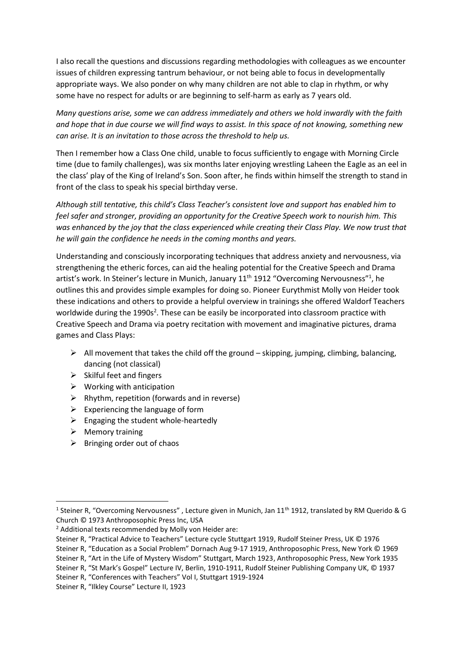I also recall the questions and discussions regarding methodologies with colleagues as we encounter issues of children expressing tantrum behaviour, or not being able to focus in developmentally appropriate ways. We also ponder on why many children are not able to clap in rhythm, or why some have no respect for adults or are beginning to self-harm as early as 7 years old.

*Many questions arise, some we can address immediately and others we hold inwardly with the faith and hope that in due course we will find ways to assist. In this space of not knowing, something new can arise. It is an invitation to those across the threshold to help us.*

Then I remember how a Class One child, unable to focus sufficiently to engage with Morning Circle time (due to family challenges), was six months later enjoying wrestling Laheen the Eagle as an eel in the class' play of the King of Ireland's Son. Soon after, he finds within himself the strength to stand in front of the class to speak his special birthday verse.

*Although still tentative, this child's Class Teacher's consistent love and support has enabled him to feel safer and stronger, providing an opportunity for the Creative Speech work to nourish him. This was enhanced by the joy that the class experienced while creating their Class Play. We now trust that he will gain the confidence he needs in the coming months and years.*

Understanding and consciously incorporating techniques that address anxiety and nervousness, via strengthening the etheric forces, can aid the healing potential for the Creative Speech and Drama artist's work. In Steiner's lecture in Munich, January 11<sup>th</sup> 1912 "Overcoming Nervousness"<sup>1</sup>, he outlines this and provides simple examples for doing so. Pioneer Eurythmist Molly von Heider took these indications and others to provide a helpful overview in trainings she offered Waldorf Teachers worldwide during the 1990s<sup>2</sup>. These can be easily be incorporated into classroom practice with Creative Speech and Drama via poetry recitation with movement and imaginative pictures, drama games and Class Plays:

- $\triangleright$  All movement that takes the child off the ground skipping, jumping, climbing, balancing, dancing (not classical)
- $\triangleright$  Skilful feet and fingers
- $\triangleright$  Working with anticipation
- $\triangleright$  Rhythm, repetition (forwards and in reverse)
- $\triangleright$  Experiencing the language of form
- $\triangleright$  Engaging the student whole-heartedly
- ➢ Memory training
- $\triangleright$  Bringing order out of chaos

Steiner R, "Education as a Social Problem" Dornach Aug 9-17 1919, Anthroposophic Press, New York © 1969

Steiner R, "Art in the Life of Mystery Wisdom" Stuttgart, March 1923, Anthroposophic Press, New York 1935

Steiner R, "St Mark's Gospel" Lecture IV, Berlin, 1910-1911, Rudolf Steiner Publishing Company UK, © 1937

Steiner R, "Conferences with Teachers" Vol I, Stuttgart 1919-1924

<sup>&</sup>lt;sup>1</sup> Steiner R, "Overcoming Nervousness", Lecture given in Munich, Jan 11<sup>th</sup> 1912, translated by RM Querido & G Church © 1973 Anthroposophic Press Inc, USA

<sup>2</sup> Additional texts recommended by Molly von Heider are:

Steiner R, "Practical Advice to Teachers" Lecture cycle Stuttgart 1919, Rudolf Steiner Press, UK © 1976

Steiner R, "Ilkley Course" Lecture II, 1923